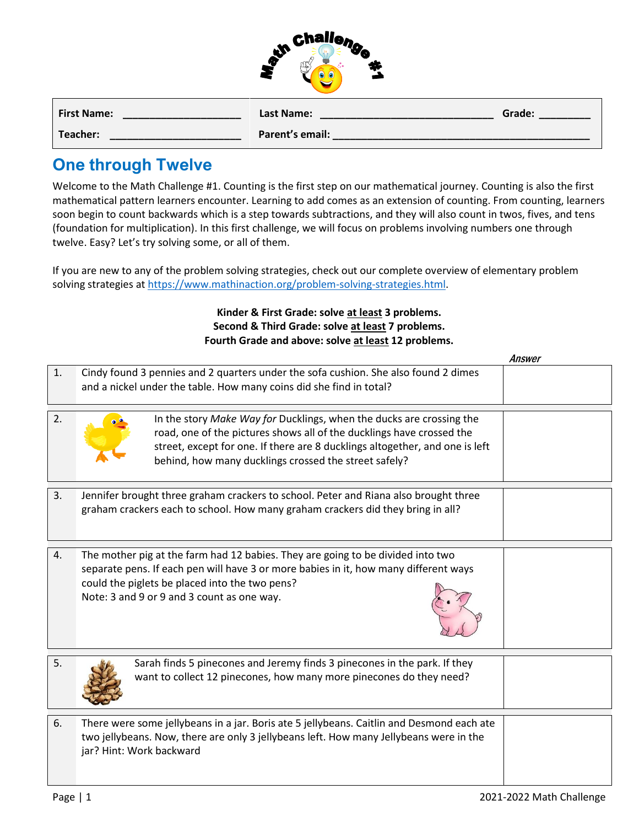|   | <b>Challen</b> |   |
|---|----------------|---|
| W |                | Ø |
|   |                |   |

| <b>First Name:</b> | Last Name:      | Grade: |
|--------------------|-----------------|--------|
| Teacher:           | Parent's email: |        |

## **One through Twelve**

Welcome to the Math Challenge #1. Counting is the first step on our mathematical journey. Counting is also the first mathematical pattern learners encounter. Learning to add comes as an extension of counting. From counting, learners soon begin to count backwards which is a step towards subtractions, and they will also count in twos, fives, and tens (foundation for multiplication). In this first challenge, we will focus on problems involving numbers one through twelve. Easy? Let's try solving some, or all of them.

If you are new to any of the problem solving strategies, check out our complete overview of elementary problem solving strategies a[t https://www.mathinaction.org/problem-solving-strategies.html.](https://www.mathinaction.org/problem-solving-strategies.html)

## **Kinder & First Grade: solve at least 3 problems. Second & Third Grade: solve at least 7 problems. Fourth Grade and above: solve at least 12 problems.**

|    |                                                                                                                                                                                                                                                                                        | Answer |
|----|----------------------------------------------------------------------------------------------------------------------------------------------------------------------------------------------------------------------------------------------------------------------------------------|--------|
| 1. | Cindy found 3 pennies and 2 quarters under the sofa cushion. She also found 2 dimes<br>and a nickel under the table. How many coins did she find in total?                                                                                                                             |        |
| 2. | In the story Make Way for Ducklings, when the ducks are crossing the<br>road, one of the pictures shows all of the ducklings have crossed the<br>street, except for one. If there are 8 ducklings altogether, and one is left<br>behind, how many ducklings crossed the street safely? |        |
| 3. | Jennifer brought three graham crackers to school. Peter and Riana also brought three<br>graham crackers each to school. How many graham crackers did they bring in all?                                                                                                                |        |
| 4. | The mother pig at the farm had 12 babies. They are going to be divided into two<br>separate pens. If each pen will have 3 or more babies in it, how many different ways<br>could the piglets be placed into the two pens?<br>Note: 3 and 9 or 9 and 3 count as one way.                |        |
| 5. | Sarah finds 5 pinecones and Jeremy finds 3 pinecones in the park. If they<br>want to collect 12 pinecones, how many more pinecones do they need?                                                                                                                                       |        |
| 6. | There were some jellybeans in a jar. Boris ate 5 jellybeans. Caitlin and Desmond each ate<br>two jellybeans. Now, there are only 3 jellybeans left. How many Jellybeans were in the<br>jar? Hint: Work backward                                                                        |        |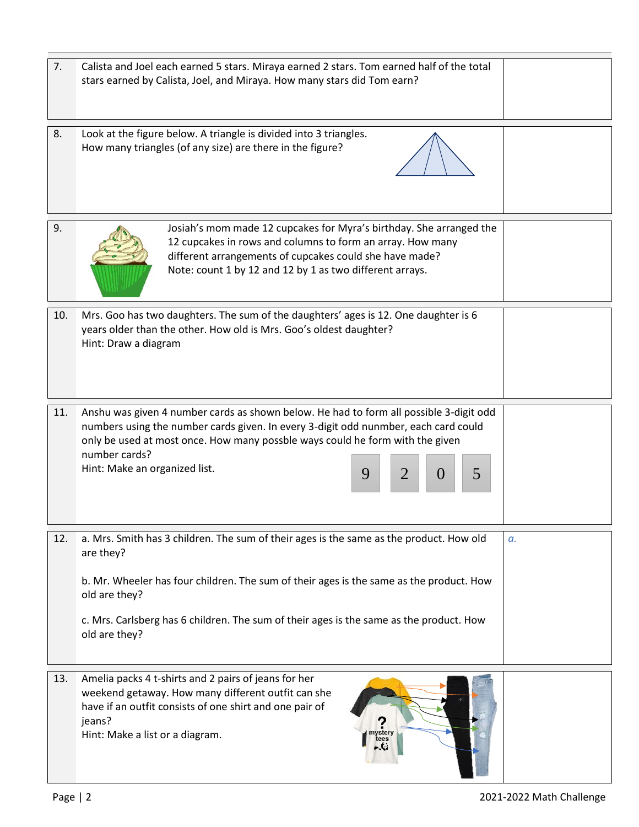| 7.  | Calista and Joel each earned 5 stars. Miraya earned 2 stars. Tom earned half of the total<br>stars earned by Calista, Joel, and Miraya. How many stars did Tom earn?                                                                                                                                                                                |    |
|-----|-----------------------------------------------------------------------------------------------------------------------------------------------------------------------------------------------------------------------------------------------------------------------------------------------------------------------------------------------------|----|
| 8.  | Look at the figure below. A triangle is divided into 3 triangles.<br>How many triangles (of any size) are there in the figure?                                                                                                                                                                                                                      |    |
| 9.  | Josiah's mom made 12 cupcakes for Myra's birthday. She arranged the<br>12 cupcakes in rows and columns to form an array. How many<br>different arrangements of cupcakes could she have made?<br>Note: count 1 by 12 and 12 by 1 as two different arrays.                                                                                            |    |
| 10. | Mrs. Goo has two daughters. The sum of the daughters' ages is 12. One daughter is 6<br>years older than the other. How old is Mrs. Goo's oldest daughter?<br>Hint: Draw a diagram                                                                                                                                                                   |    |
| 11. | Anshu was given 4 number cards as shown below. He had to form all possible 3-digit odd<br>numbers using the number cards given. In every 3-digit odd nunmber, each card could<br>only be used at most once. How many possble ways could he form with the given<br>number cards?<br>Hint: Make an organized list.<br>9<br>2<br>5<br>$\left( \right)$ |    |
| 12. | a. Mrs. Smith has 3 children. The sum of their ages is the same as the product. How old<br>are they?<br>b. Mr. Wheeler has four children. The sum of their ages is the same as the product. How<br>old are they?<br>c. Mrs. Carlsberg has 6 children. The sum of their ages is the same as the product. How<br>old are they?                        | а. |
| 13. | Amelia packs 4 t-shirts and 2 pairs of jeans for her<br>weekend getaway. How many different outfit can she<br>have if an outfit consists of one shirt and one pair of<br>jeans?<br>Hint: Make a list or a diagram.                                                                                                                                  |    |